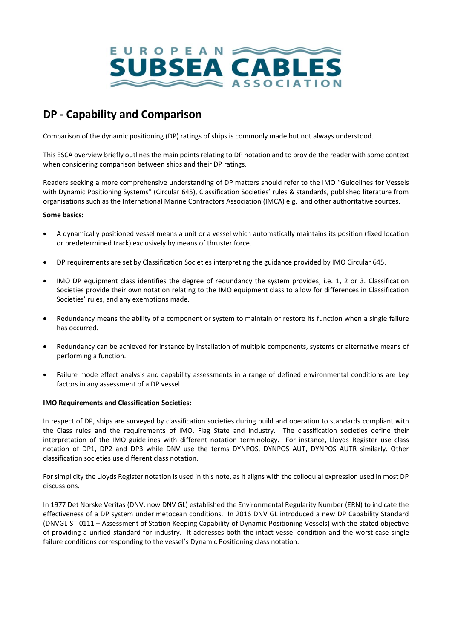

# **DP - Capability and Comparison**

Comparison of the dynamic positioning (DP) ratings of ships is commonly made but not always understood.

This ESCA overview briefly outlines the main points relating to DP notation and to provide the reader with some context when considering comparison between ships and their DP ratings.

Readers seeking a more comprehensive understanding of DP matters should refer to the IMO "Guidelines for Vessels with Dynamic Positioning Systems" (Circular 645), Classification Societies' rules & standards, published literature from organisations such as the International Marine Contractors Association (IMCA) e.g. and other authoritative sources.

## **Some basics:**

- A dynamically positioned vessel means a unit or a vessel which automatically maintains its position (fixed location or predetermined track) exclusively by means of thruster force.
- DP requirements are set by Classification Societies interpreting the guidance provided by IMO Circular 645.
- IMO DP equipment class identifies the degree of redundancy the system provides; i.e. 1, 2 or 3. Classification Societies provide their own notation relating to the IMO equipment class to allow for differences in Classification Societies' rules, and any exemptions made.
- Redundancy means the ability of a component or system to maintain or restore its function when a single failure has occurred.
- Redundancy can be achieved for instance by installation of multiple components, systems or alternative means of performing a function.
- Failure mode effect analysis and capability assessments in a range of defined environmental conditions are key factors in any assessment of a DP vessel.

## **IMO Requirements and Classification Societies:**

In respect of DP, ships are surveyed by classification societies during build and operation to standards compliant with the Class rules and the requirements of IMO, Flag State and industry. The classification societies define their interpretation of the IMO guidelines with different notation terminology. For instance, Lloyds Register use class notation of DP1, DP2 and DP3 while DNV use the terms DYNPOS, DYNPOS AUT, DYNPOS AUTR similarly. Other classification societies use different class notation.

For simplicity the Lloyds Register notation is used in this note, as it aligns with the colloquial expression used in most DP discussions.

In 1977 Det Norske Veritas (DNV, now DNV GL) established the Environmental Regularity Number (ERN) to indicate the effectiveness of a DP system under metocean conditions. In 2016 DNV GL introduced a new DP Capability Standard (DNVGL-ST-0111 – Assessment of Station Keeping Capability of Dynamic Positioning Vessels) with the stated objective of providing a unified standard for industry. It addresses both the intact vessel condition and the worst-case single failure conditions corresponding to the vessel's Dynamic Positioning class notation.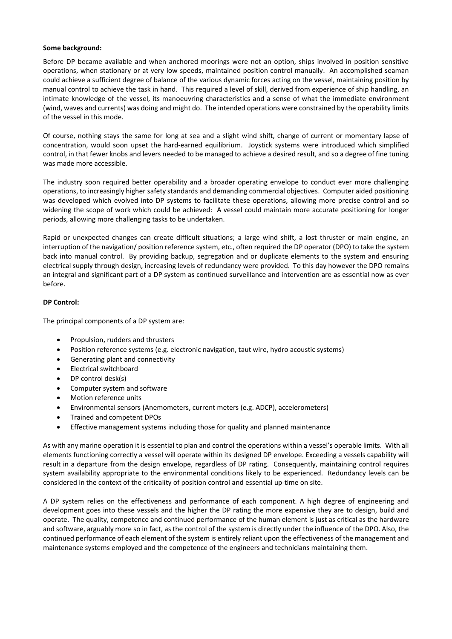### **Some background:**

Before DP became available and when anchored moorings were not an option, ships involved in position sensitive operations, when stationary or at very low speeds, maintained position control manually. An accomplished seaman could achieve a sufficient degree of balance of the various dynamic forces acting on the vessel, maintaining position by manual control to achieve the task in hand. This required a level of skill, derived from experience of ship handling, an intimate knowledge of the vessel, its manoeuvring characteristics and a sense of what the immediate environment (wind, waves and currents) was doing and might do. The intended operations were constrained by the operability limits of the vessel in this mode.

Of course, nothing stays the same for long at sea and a slight wind shift, change of current or momentary lapse of concentration, would soon upset the hard-earned equilibrium. Joystick systems were introduced which simplified control, in that fewer knobs and levers needed to be managed to achieve a desired result, and so a degree of fine tuning was made more accessible.

The industry soon required better operability and a broader operating envelope to conduct ever more challenging operations, to increasingly higher safety standards and demanding commercial objectives. Computer aided positioning was developed which evolved into DP systems to facilitate these operations, allowing more precise control and so widening the scope of work which could be achieved: A vessel could maintain more accurate positioning for longer periods, allowing more challenging tasks to be undertaken.

Rapid or unexpected changes can create difficult situations; a large wind shift, a lost thruster or main engine, an interruption of the navigation/ position reference system, etc., often required the DP operator (DPO) to take the system back into manual control. By providing backup, segregation and or duplicate elements to the system and ensuring electrical supply through design, increasing levels of redundancy were provided. To this day however the DPO remains an integral and significant part of a DP system as continued surveillance and intervention are as essential now as ever before.

## **DP Control:**

The principal components of a DP system are:

- Propulsion, rudders and thrusters
- Position reference systems (e.g. electronic navigation, taut wire, hydro acoustic systems)
- Generating plant and connectivity
- Electrical switchboard
- DP control desk(s)
- Computer system and software
- Motion reference units
- Environmental sensors (Anemometers, current meters (e.g. ADCP), accelerometers)
- Trained and competent DPOs
- Effective management systems including those for quality and planned maintenance

As with any marine operation it is essential to plan and control the operations within a vessel's operable limits. With all elements functioning correctly a vessel will operate within its designed DP envelope. Exceeding a vessels capability will result in a departure from the design envelope, regardless of DP rating. Consequently, maintaining control requires system availability appropriate to the environmental conditions likely to be experienced. Redundancy levels can be considered in the context of the criticality of position control and essential up-time on site.

A DP system relies on the effectiveness and performance of each component. A high degree of engineering and development goes into these vessels and the higher the DP rating the more expensive they are to design, build and operate. The quality, competence and continued performance of the human element is just as critical as the hardware and software, arguably more so in fact, as the control of the system is directly under the influence of the DPO. Also, the continued performance of each element of the system is entirely reliant upon the effectiveness of the management and maintenance systems employed and the competence of the engineers and technicians maintaining them.